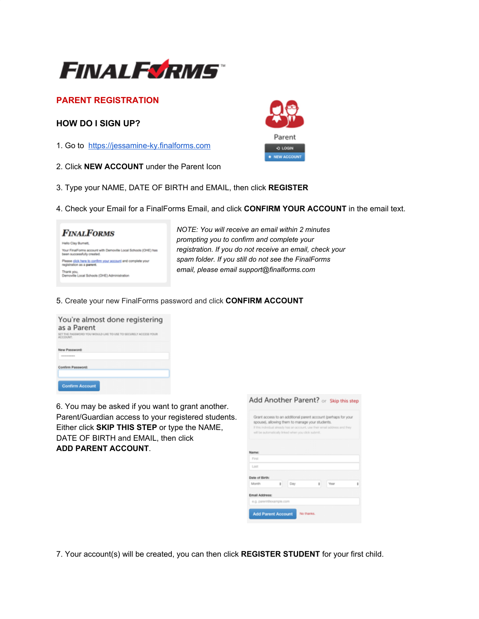

# **PARENT REGISTRATION**

## **HOW DO I SIGN UP?**

- 1. Go to [https://jessamine-ky.finalforms.com](https://jessamine-ky.finalforms.com/)
- 2. Click **NEW ACCOUNT** under the Parent Icon
- 3. Type your NAME, DATE OF BIRTH and EMAIL, then click **REGISTER**
- 4. Check your Email for a FinalForms Email, and click **CONFIRM YOUR ACCOUNT** in the email text.

## **FINALFORMS** Helio Clay Burnett, Your FinalForms account with Demoville Local Schools (OHE) has<br>been successfully created. Please click here to confirm your account and complete your Thank you,<br>Demoville Local Schools (OHE) Administration

 *NOTE: You will receive an email within 2 minutes prompting you to confirm and complete your registration. If you do not receive an email, check your spam folder. If you still do not see the FinalForms email, please email support@finalforms.com*

#### 5. Create your new FinalForms password and click **CONFIRM ACCOUNT**

| You're almost done registering<br>as a Parent                                                                                                                                                                                                                         |  |  |  |  |
|-----------------------------------------------------------------------------------------------------------------------------------------------------------------------------------------------------------------------------------------------------------------------|--|--|--|--|
| SET THE PASSWORD YOU WOULD LIKE TO USE TO SECURELY ACCESS YOUR<br>ACCOUNT.                                                                                                                                                                                            |  |  |  |  |
| New Password:                                                                                                                                                                                                                                                         |  |  |  |  |
| <b><i><u>A R R R R R R R PORT OF THE SAME REPORT OF THE ART REPORT OF THE ART REPORTED A REPORT OF THE ART REPORTED A REPORT OF THE ART REPORTED A REPORT OF THE ART REPORTED A REPORT OF THE ART REPORTED A REPORT OF THE ART REPOR</u></i></b><br>Confirm Password: |  |  |  |  |
|                                                                                                                                                                                                                                                                       |  |  |  |  |
| <b>Confirm Account</b>                                                                                                                                                                                                                                                |  |  |  |  |

6. You may be asked if you want to grant another. Parent/Guardian access to your registered students. Either click **SKIP THIS STEP** or type the NAME, DATE OF BIRTH and EMAIL, then click **ADD PARENT ACCOUNT**.

|                |                         | Grant access to an additional parent account (perhaps for your<br>spouse), allowing them to manage your students.<br>If this individual already has an account, use their email address and they<br>will be automatically linked when you click submit. |   |      |   |
|----------------|-------------------------|---------------------------------------------------------------------------------------------------------------------------------------------------------------------------------------------------------------------------------------------------------|---|------|---|
| Name:          |                         |                                                                                                                                                                                                                                                         |   |      |   |
| First          |                         |                                                                                                                                                                                                                                                         |   |      |   |
| Last           |                         |                                                                                                                                                                                                                                                         |   |      |   |
| Date of Birth: |                         |                                                                                                                                                                                                                                                         |   |      |   |
| Month          | ÷                       | Day                                                                                                                                                                                                                                                     | ž | Year | t |
| Email Address: |                         |                                                                                                                                                                                                                                                         |   |      |   |
|                | e.g. parent@example.com |                                                                                                                                                                                                                                                         |   |      |   |

7. Your account(s) will be created, you can then click **REGISTER STUDENT** for your first child.